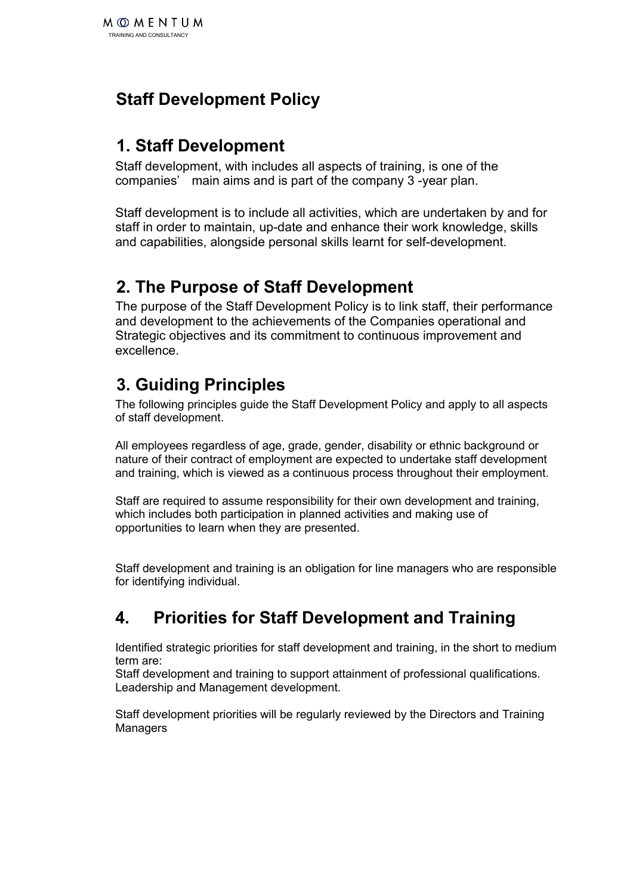# **Staff Development Policy**

#### **1. Staff Development**

Staff development, with includes all aspects of training, is one of the companies' main aims and is part of the company 3 -year plan.

Staff development is to include all activities, which are undertaken by and for staff in order to maintain, up-date and enhance their work knowledge, skills and capabilities, alongside personal skills learnt for self-development.

#### **2. The Purpose of Staff Development**

The purpose of the Staff Development Policy is to link staff, their performance and development to the achievements of the Companies operational and Strategic objectives and its commitment to continuous improvement and excellence.

# **3. Guiding Principles**

The following principles guide the Staff Development Policy and apply to all aspects of staff development.

All employees regardless of age, grade, gender, disability or ethnic background or nature of their contract of employment are expected to undertake staff development and training, which is viewed as a continuous process throughout their employment.

Staff are required to assume responsibility for their own development and training, which includes both participation in planned activities and making use of opportunities to learn when they are presented.

Staff development and training is an obligation for line managers who are responsible for identifying individual.

### **4. Priorities for Staff Development and Training**

Identified strategic priorities for staff development and training, in the short to medium term are:

Staff development and training to support attainment of professional qualifications. Leadership and Management development.

Staff development priorities will be regularly reviewed by the Directors and Training Managers